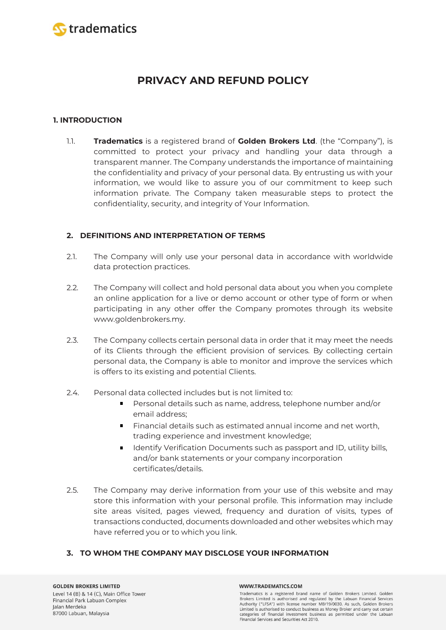

# **PRIVACY AND REFUND POLICY**

# **1. INTRODUCTION**

1.1. **Tradematics** is a registered brand of **Golden Brokers Ltd**. (the "Company"), is committed to protect your privacy and handling your data through a transparent manner. The Company understands the importance of maintaining the confidentiality and privacy of your personal data. By entrusting us with your information, we would like to assure you of our commitment to keep such information private. The Company taken measurable steps to protect the confidentiality, security, and integrity of Your Information.

# **2. DEFINITIONS AND INTERPRETATION OF TERMS**

- 2.1. The Company will only use your personal data in accordance with worldwide data protection practices.
- 2.2. The Company will collect and hold personal data about you when you complete an online application for a live or demo account or other type of form or when participating in any other offer the Company promotes through its website www.goldenbrokers.my.
- 2.3. The Company collects certain personal data in order that it may meet the needs of its Clients through the efficient provision of services. By collecting certain personal data, the Company is able to monitor and improve the services which is offers to its existing and potential Clients.
- 2.4. Personal data collected includes but is not limited to:
	- Personal details such as name, address, telephone number and/or email address;
	- **Financial details such as estimated annual income and net worth,** trading experience and investment knowledge;
	- **IDENTIFY Verification Documents such as passport and ID, utility bills,** and/or bank statements or your company incorporation certificates/details.
- 2.5. The Company may derive information from your use of this website and may store this information with your personal profile. This information may include site areas visited, pages viewed, frequency and duration of visits, types of transactions conducted, documents downloaded and other websites which may have referred you or to which you link.

# **3. TO WHOM THE COMPANY MAY DISCLOSE YOUR INFORMATION**

#### **GOLDEN BROKERS LIMITED**

Level 14 (B) & 14 (C), Main Office Tower Financial Park Labuan Complex Jalan Merdeka 87000 Labuan, Malaysia

#### WWW.TRADEMATICS.COM

Tradematics is a registered brand name of Golden Brokers Limited. Golden Brokers Limited is authorised and regulated by the Labuan Financial Services Authority ("LFSA") with license number MB/19/0030. As such, Golden Brokers Limited is authorised to conduct business as Money Broker and carry out certain categories of financial investment business as permitted under the Labuan Financial Services and Securities Act 2010.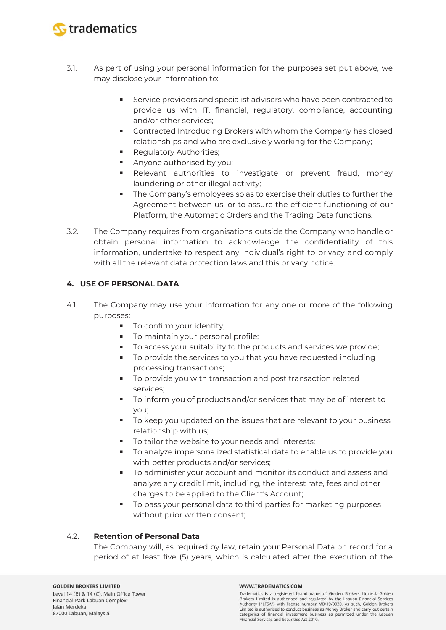

- 3.1. As part of using your personal information for the purposes set put above, we may disclose your information to:
	- Service providers and specialist advisers who have been contracted to  $\mathbf{R}^{\mathrm{max}}$ provide us with IT, financial, regulatory, compliance, accounting and/or other services;
	- **EXECONTREGIVE CONTREGIVER CONTREGIVER** Contracted Introducing Brokers with whom the Company has closed relationships and who are exclusively working for the Company;
	- **Requilatory Authorities;**
	- Anyone authorised by you;
	- Relevant authorities to investigate or prevent fraud, money laundering or other illegal activity;
	- The Company's employees so as to exercise their duties to further the Agreement between us, or to assure the efficient functioning of our Platform, the Automatic Orders and the Trading Data functions.
- 3.2. The Company requires from organisations outside the Company who handle or obtain personal information to acknowledge the confidentiality of this information, undertake to respect any individual's right to privacy and comply with all the relevant data protection laws and this privacy notice.

# **4. USE OF PERSONAL DATA**

- 4.1. The Company may use your information for any one or more of the following purposes:
	- $\blacksquare$ To confirm your identity;
	- **To maintain your personal profile;**
	- To access your suitability to the products and services we provide;
	- **To provide the services to you that you have requested including** processing transactions;
	- To provide you with transaction and post transaction related services;
	- To inform you of products and/or services that may be of interest to you;
	- To keep you updated on the issues that are relevant to your business relationship with us;
	- To tailor the website to your needs and interests:
	- To analyze impersonalized statistical data to enable us to provide you with better products and/or services;
	- To administer your account and monitor its conduct and assess and analyze any credit limit, including, the interest rate, fees and other charges to be applied to the Client's Account;
	- To pass your personal data to third parties for marketing purposes without prior written consent;

### 4.2. **Retention of Personal Data**

The Company will, as required by law, retain your Personal Data on record for a period of at least five (5) years, which is calculated after the execution of the

### **GOLDEN BROKERS LIMITED**

Level 14 (B) & 14 (C), Main Office Tower Financial Park Labuan Complex Jalan Merdeka 87000 Labuan, Malaysia

#### WWW.TRADEMATICS.COM

Tradematics is a registered brand name of Golden Brokers Limited. Golden Brokers Limited is authorised and regulated by the Labuan Financial Services Authority ("LFSA") with license number MB/19/0030. As such, Golden Brokers Limited is authorised to conduct business as Money Broker and carry out certain categories of financial investment business as permitted under the Labuan Financial Services and Securities Act 2010.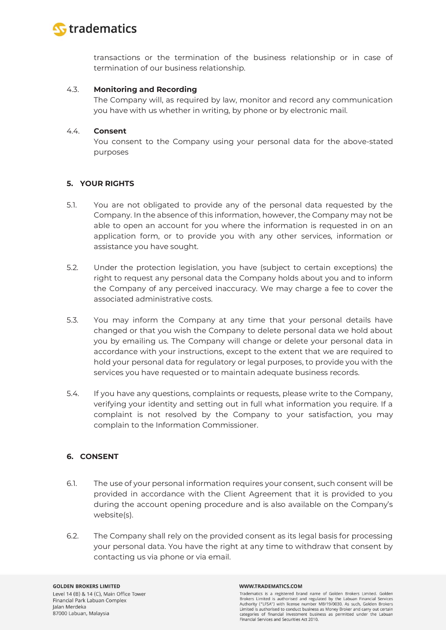

transactions or the termination of the business relationship or in case of termination of our business relationship.

### 4.3. **Monitoring and Recording**

The Company will, as required by law, monitor and record any communication you have with us whether in writing, by phone or by electronic mail.

### 4.4. **Consent**

You consent to the Company using your personal data for the above-stated purposes

### **5. YOUR RIGHTS**

- 5.1. You are not obligated to provide any of the personal data requested by the Company. In the absence of this information, however, the Company may not be able to open an account for you where the information is requested in on an application form, or to provide you with any other services, information or assistance you have sought.
- 5.2. Under the protection legislation, you have (subject to certain exceptions) the right to request any personal data the Company holds about you and to inform the Company of any perceived inaccuracy. We may charge a fee to cover the associated administrative costs.
- 5.3. You may inform the Company at any time that your personal details have changed or that you wish the Company to delete personal data we hold about you by emailing us. The Company will change or delete your personal data in accordance with your instructions, except to the extent that we are required to hold your personal data for regulatory or legal purposes, to provide you with the services you have requested or to maintain adequate business records.
- 5.4. If you have any questions, complaints or requests, please write to the Company, verifying your identity and setting out in full what information you require. If a complaint is not resolved by the Company to your satisfaction, you may complain to the Information Commissioner.

# **6. CONSENT**

- 6.1. The use of your personal information requires your consent, such consent will be provided in accordance with the Client Agreement that it is provided to you during the account opening procedure and is also available on the Company's website(s).
- 6.2. The Company shall rely on the provided consent as its legal basis for processing your personal data. You have the right at any time to withdraw that consent by contacting us via phone or via email.

#### WWW.TRADEMATICS.COM

Tradematics is a registered brand name of Golden Brokers Limited. Golden Brokers Limited is authorised and regulated by the Labuan Financial Services Authority ("LFSA") with license number MB/19/0030. As such, Golden Brokers Limited is authorised to conduct business as Money Broker and carry out certain categories of financial investment business as permitted under the Labuan Financial Services and Securities Act 2010.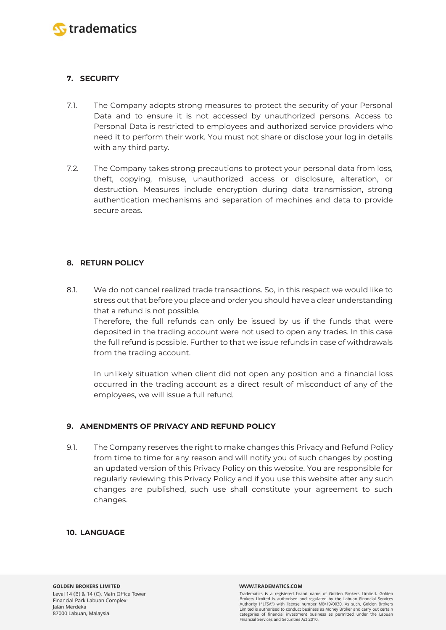

# **7. SECURITY**

- 7.1. The Company adopts strong measures to protect the security of your Personal Data and to ensure it is not accessed by unauthorized persons. Access to Personal Data is restricted to employees and authorized service providers who need it to perform their work. You must not share or disclose your log in details with any third party.
- 7.2. The Company takes strong precautions to protect your personal data from loss, theft, copying, misuse, unauthorized access or disclosure, alteration, or destruction. Measures include encryption during data transmission, strong authentication mechanisms and separation of machines and data to provide secure areas.

# **8. RETURN POLICY**

8.1. We do not cancel realized trade transactions. So, in this respect we would like to stress out that before you place and order you should have a clear understanding that a refund is not possible. Therefore, the full refunds can only be issued by us if the funds that were deposited in the trading account were not used to open any trades. In this case the full refund is possible. Further to that we issue refunds in case of withdrawals

In unlikely situation when client did not open any position and a financial loss occurred in the trading account as a direct result of misconduct of any of the employees, we will issue a full refund.

# **9. AMENDMENTS OF PRIVACY AND REFUND POLICY**

from the trading account.

9.1. The Company reserves the right to make changes this Privacy and Refund Policy from time to time for any reason and will notify you of such changes by posting an updated version of this Privacy Policy on this website. You are responsible for regularly reviewing this Privacy Policy and if you use this website after any such changes are published, such use shall constitute your agreement to such changes.

### **10. LANGUAGE**

Tradematics is a registered brand name of Golden Brokers Limited. Golden Brokers Limited is authorised and regulated by the Labuan Financial Services Authority ("LFSA") with license number MB/19/0030. As such, Golden Brokers Limited is authorised to conduct business as Money Broker and carry out certain categories of financial investment business as permitted under the Labuan Financial Services and Securities Act 2010.